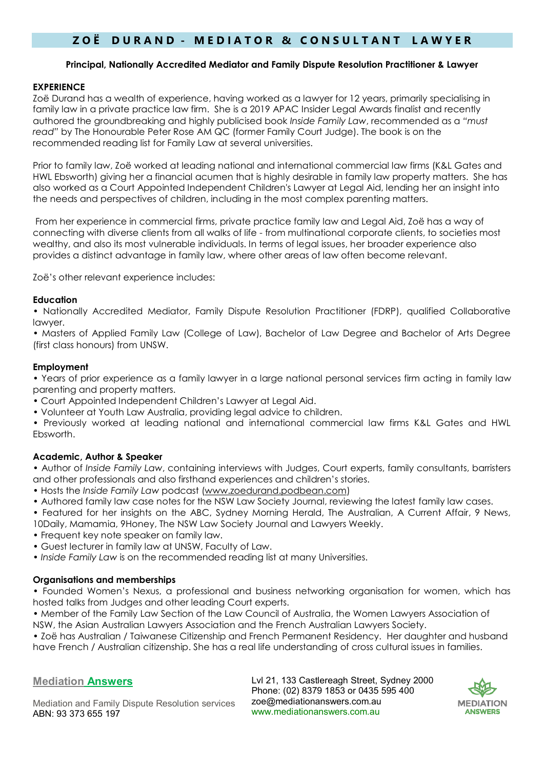# **Z O Ë D U R A N D - M E D I A T O R & C O N S U L T A N T L A W Y E R**

#### **Principal, Nationally Accredited Mediator and Family Dispute Resolution Practitioner & Lawyer**

### **EXPERIENCE**

Zoë Durand has a wealth of experience, having worked as a lawyer for 12 years, primarily specialising in family law in a private practice law firm. She is a 2019 APAC Insider Legal Awards finalist and recently authored the groundbreaking and highly publicised book *Inside Family Law*, recommended as a *"must read"* by The Honourable Peter Rose AM QC (former Family Court Judge). The book is on the recommended reading list for Family Law at several universities.

Prior to family law, Zoë worked at leading national and international commercial law firms (K&L Gates and HWL Ebsworth) giving her a financial acumen that is highly desirable in family law property matters. She has also worked as a Court Appointed Independent Children's Lawyer at Legal Aid, lending her an insight into the needs and perspectives of children, including in the most complex parenting matters.

From her experience in commercial firms, private practice family law and Legal Aid, Zoë has a way of connecting with diverse clients from all walks of life - from multinational corporate clients, to societies most wealthy, and also its most vulnerable individuals. In terms of legal issues, her broader experience also provides a distinct advantage in family law, where other areas of law often become relevant.

Zoë's other relevant experience includes:

#### **Education**

• Nationally Accredited Mediator, Family Dispute Resolution Practitioner (FDRP), qualified Collaborative lawyer.

• Masters of Applied Family Law (College of Law), Bachelor of Law Degree and Bachelor of Arts Degree (first class honours) from UNSW.

#### **Employment**

• Years of prior experience as a family lawyer in a large national personal services firm acting in family law parenting and property matters.

- Court Appointed Independent Children's Lawyer at Legal Aid.
- Volunteer at Youth Law Australia, providing legal advice to children.

• Previously worked at leading national and international commercial law firms K&L Gates and HWL Ebsworth.

## **Academic, Author & Speaker**

• Author of *Inside Family Law*, containing interviews with Judges, Court experts, family consultants, barristers and other professionals and also firsthand experiences and children's stories.

- Hosts the *Inside Family Law* podcast [\(www.zoedurand.podbean.com\)](http://www.zoedurand.podbean.com/)
- Authored family law case notes for the NSW Law Society Journal, reviewing the latest family law cases.

• Featured for her insights on the ABC, Sydney Morning Herald, The Australian, A Current Affair, 9 News, 10Daily, Mamamia, 9Honey, The NSW Law Society Journal and Lawyers Weekly.

- Frequent key note speaker on family law.
- Guest lecturer in family law at UNSW, Faculty of Law.
- *Inside Family Law* is on the recommended reading list at many Universities.

#### **Organisations and memberships**

• Founded Women's Nexus, a professional and business networking organisation for women, which has hosted talks from Judges and other leading Court experts.

• Member of the Family Law Section of the Law Council of Australia, the Women Lawyers Association of NSW, the Asian Australian Lawyers Association and the French Australian Lawyers Society.

• Zoë has Australian / Taiwanese Citizenship and French Permanent Residency. Her daughter and husband have French / Australian citizenship. She has a real life understanding of cross cultural issues in families.

## **Mediation Answers**

Lvl 21, 133 Castlereagh Street, Sydney 2000 Phone: (02) 8379 1853 or 0435 595 400 zoe@mediationanswers.com.au www.mediationanswers.com.au



Mediation and Family Dispute Resolution services ABN: 93 373 655 197